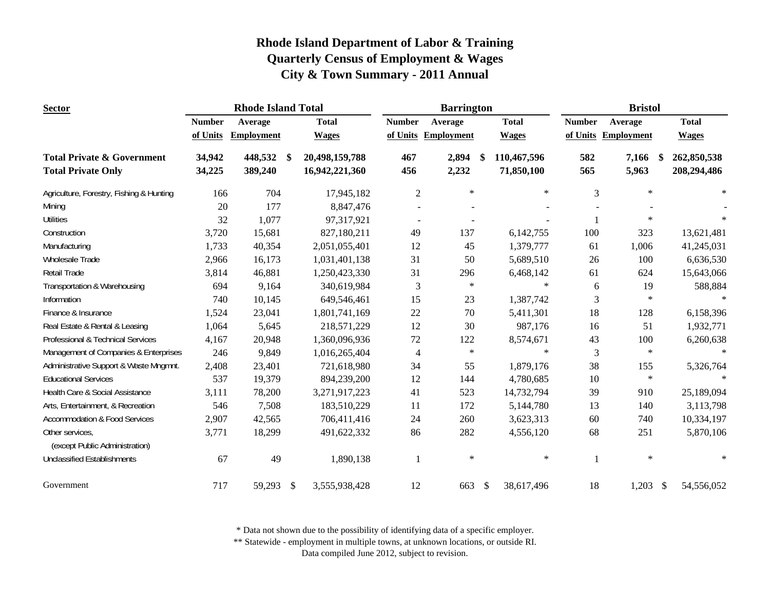| <b>Sector</b>                                     |               | <b>Rhode Island Total</b> |                           |                |                | <b>Barrington</b> |    |              |                | <b>Bristol</b>         |              |  |
|---------------------------------------------------|---------------|---------------------------|---------------------------|----------------|----------------|-------------------|----|--------------|----------------|------------------------|--------------|--|
|                                                   | <b>Number</b> | Average                   |                           | <b>Total</b>   | <b>Number</b>  | Average           |    | <b>Total</b> | <b>Number</b>  | Average                | <b>Total</b> |  |
|                                                   | of Units      | <b>Employment</b>         |                           | <b>Wages</b>   | of Units       | <b>Employment</b> |    | <b>Wages</b> | of Units       | <b>Employment</b>      | <b>Wages</b> |  |
| <b>Total Private &amp; Government</b>             | 34,942        | 448,532                   | - \$                      | 20,498,159,788 | 467            | 2,894             | -8 | 110,467,596  | 582            | 7,166<br>\$            | 262,850,538  |  |
| <b>Total Private Only</b>                         | 34,225        | 389,240                   |                           | 16,942,221,360 | 456            | 2,232             |    | 71,850,100   | 565            | 5,963                  | 208,294,486  |  |
| Agriculture, Forestry, Fishing & Hunting          | 166           | 704                       |                           | 17,945,182     | $\overline{c}$ | $\ast$            |    | $\ast$       | 3              | $\ast$                 | $\star$      |  |
| Mining                                            | 20            | 177                       |                           | 8,847,476      |                |                   |    |              |                |                        |              |  |
| <b>Utilities</b>                                  | 32            | 1,077                     |                           | 97,317,921     | $\sim$         |                   |    |              | $\mathbf{1}$   | $\star$                | $\ast$       |  |
| Construction                                      | 3,720         | 15,681                    |                           | 827,180,211    | 49             | 137               |    | 6,142,755    | 100            | 323                    | 13,621,481   |  |
| Manufacturing                                     | 1,733         | 40,354                    |                           | 2,051,055,401  | 12             | 45                |    | 1,379,777    | 61             | 1,006                  | 41,245,031   |  |
| Wholesale Trade                                   | 2,966         | 16,173                    |                           | 1,031,401,138  | 31             | 50                |    | 5,689,510    | 26             | 100                    | 6,636,530    |  |
| Retail Trade                                      | 3,814         | 46,881                    |                           | 1,250,423,330  | 31             | 296               |    | 6,468,142    | 61             | 624                    | 15,643,066   |  |
| Transportation & Warehousing                      | 694           | 9,164                     |                           | 340,619,984    | 3              | $\ast$            |    | $\ast$       | 6              | 19                     | 588,884      |  |
| Information                                       | 740           | 10,145                    |                           | 649,546,461    | 15             | 23                |    | 1,387,742    | $\mathfrak{Z}$ | $\ast$                 |              |  |
| Finance & Insurance                               | 1,524         | 23,041                    |                           | 1,801,741,169  | 22             | 70                |    | 5,411,301    | 18             | 128                    | 6,158,396    |  |
| Real Estate & Rental & Leasing                    | 1,064         | 5,645                     |                           | 218,571,229    | 12             | 30                |    | 987,176      | 16             | 51                     | 1,932,771    |  |
| Professional & Technical Services                 | 4,167         | 20,948                    |                           | 1,360,096,936  | 72             | 122               |    | 8,574,671    | 43             | 100                    | 6,260,638    |  |
| Management of Companies & Enterprises             | 246           | 9,849                     |                           | 1,016,265,404  | 4              | $\ast$            |    | $\ast$       | 3              | $\star$                | $\star$      |  |
| Administrative Support & Waste Mngmnt.            | 2,408         | 23,401                    |                           | 721,618,980    | 34             | 55                |    | 1,879,176    | 38             | 155                    | 5,326,764    |  |
| <b>Educational Services</b>                       | 537           | 19,379                    |                           | 894,239,200    | 12             | 144               |    | 4,780,685    | 10             | $\ast$                 | $\ast$       |  |
| Health Care & Social Assistance                   | 3,111         | 78,200                    |                           | 3,271,917,223  | 41             | 523               |    | 14,732,794   | 39             | 910                    | 25,189,094   |  |
| Arts, Entertainment, & Recreation                 | 546           | 7,508                     |                           | 183,510,229    | 11             | 172               |    | 5,144,780    | 13             | 140                    | 3,113,798    |  |
| <b>Accommodation &amp; Food Services</b>          | 2,907         | 42,565                    |                           | 706,411,416    | 24             | 260               |    | 3,623,313    | 60             | 740                    | 10,334,197   |  |
| Other services.<br>(except Public Administration) | 3,771         | 18,299                    |                           | 491,622,332    | 86             | 282               |    | 4,556,120    | 68             | 251                    | 5,870,106    |  |
| <b>Unclassified Establishments</b>                | 67            | 49                        |                           | 1,890,138      |                | $\ast$            |    | $\ast$       |                | $\ast$                 | $\ast$       |  |
| Government                                        | 717           | 59,293                    | $\boldsymbol{\mathsf{S}}$ | 3,555,938,428  | 12             | 663               | \$ | 38,617,496   | 18             | 1,203<br>$\mathcal{S}$ | 54,556,052   |  |

\* Data not shown due to the possibility of identifying data of a specific employer.

\*\* Statewide - employment in multiple towns, at unknown locations, or outside RI.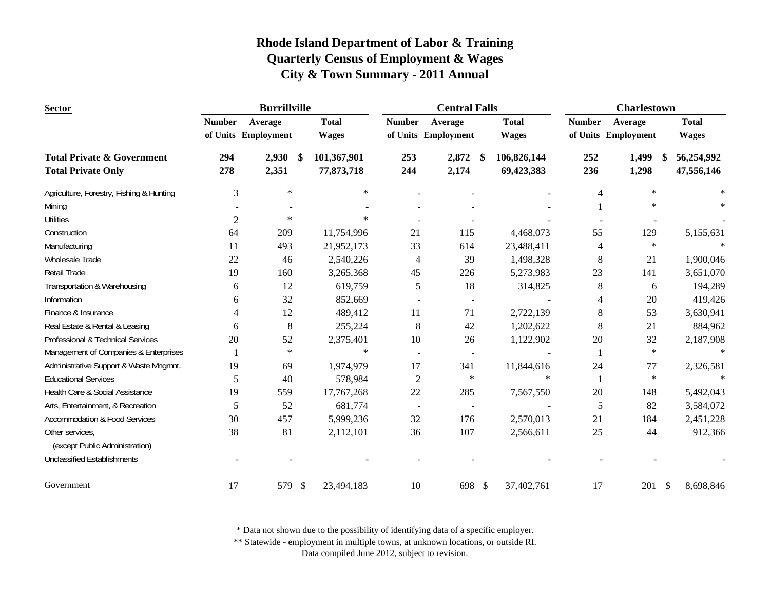| <b>Sector</b>                            |                | <b>Burrillville</b>  |              |                          | <b>Central Falls</b>     |              |               | <b>Charlestown</b>  |              |
|------------------------------------------|----------------|----------------------|--------------|--------------------------|--------------------------|--------------|---------------|---------------------|--------------|
|                                          | <b>Number</b>  | Average              | <b>Total</b> | <b>Number</b>            | Average                  | <b>Total</b> | <b>Number</b> | Average             | <b>Total</b> |
|                                          |                | of Units Employment  | <b>Wages</b> |                          | of Units Employment      | <b>Wages</b> |               | of Units Employment | <b>Wages</b> |
| <b>Total Private &amp; Government</b>    | 294            | 2,930<br>-\$         | 101,367,901  | 253                      | 2,872 \$                 | 106,826,144  | 252           | 1,499<br>- \$       | 56,254,992   |
| <b>Total Private Only</b>                | 278            | 2,351                | 77,873,718   | 244                      | 2,174                    | 69,423,383   | 236           | 1,298               | 47,556,146   |
| Agriculture, Forestry, Fishing & Hunting | 3              | $\ast$               | $\ast$       |                          |                          |              | 4             | $\ast$              | $\ast$       |
| Mining                                   |                |                      |              |                          |                          |              |               | $\ast$              |              |
| <b>Utilities</b>                         | $\overline{c}$ | $\ast$               | $\ast$       |                          |                          |              |               |                     |              |
| Construction                             | 64             | 209                  | 11,754,996   | 21                       | 115                      | 4,468,073    | 55            | 129                 | 5,155,631    |
| Manufacturing                            | 11             | 493                  | 21,952,173   | 33                       | 614                      | 23,488,411   | 4             | $\ast$              |              |
| Wholesale Trade                          | 22             | 46                   | 2,540,226    | 4                        | 39                       | 1,498,328    | 8             | 21                  | 1,900,046    |
| <b>Retail Trade</b>                      | 19             | 160                  | 3,265,368    | 45                       | 226                      | 5,273,983    | 23            | 141                 | 3,651,070    |
| Transportation & Warehousing             | 6              | 12                   | 619,759      | 5                        | 18                       | 314,825      | 8             | 6                   | 194,289      |
| Information                              | 6              | 32                   | 852,669      |                          |                          |              | 4             | 20                  | 419,426      |
| Finance & Insurance                      | 4              | 12                   | 489,412      | 11                       | 71                       | 2,722,139    | 8             | 53                  | 3,630,941    |
| Real Estate & Rental & Leasing           | 6              | $\,8\,$              | 255,224      | 8                        | 42                       | 1,202,622    | 8             | 21                  | 884,962      |
| Professional & Technical Services        | 20             | 52                   | 2,375,401    | 10                       | 26                       | 1,122,902    | 20            | 32                  | 2,187,908    |
| Management of Companies & Enterprises    |                | $\ast$               | $\ast$       |                          |                          |              | 1             | $\ast$              | $\ast$       |
| Administrative Support & Waste Mngmnt.   | 19             | 69                   | 1,974,979    | 17                       | 341                      | 11,844,616   | 24            | 77                  | 2,326,581    |
| <b>Educational Services</b>              | 5              | 40                   | 578,984      | $\sqrt{2}$               | $\ast$                   | $\ast$       |               | $\ast$              | $\ast$       |
| Health Care & Social Assistance          | 19             | 559                  | 17,767,268   | 22                       | 285                      | 7,567,550    | 20            | 148                 | 5,492,043    |
| Arts, Entertainment, & Recreation        | 5              | 52                   | 681,774      | $\overline{\phantom{a}}$ | $\overline{\phantom{a}}$ |              | 5             | 82                  | 3,584,072    |
| <b>Accommodation &amp; Food Services</b> | 30             | 457                  | 5,999,236    | 32                       | 176                      | 2,570,013    | 21            | 184                 | 2,451,228    |
| Other services,                          | 38             | 81                   | 2,112,101    | 36                       | 107                      | 2,566,611    | 25            | 44                  | 912,366      |
| (except Public Administration)           |                |                      |              |                          |                          |              |               |                     |              |
| <b>Unclassified Establishments</b>       |                |                      |              |                          |                          |              |               |                     |              |
| Government                               | 17             | 579<br>$\mathcal{S}$ | 23,494,183   | 10                       | 698 \$                   | 37,402,761   | 17            | 201S                | 8,698,846    |

\* Data not shown due to the possibility of identifying data of a specific employer.

\*\* Statewide - employment in multiple towns, at unknown locations, or outside RI.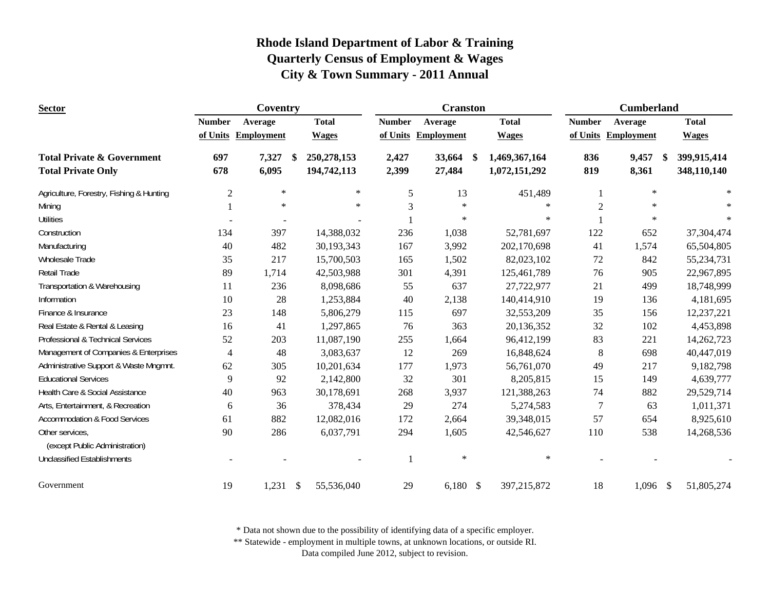| <b>Sector</b>                                                      |                | Coventry            |     |                              |                | <b>Cranston</b>   |     |                                | <b>Cumberland</b> |                     |    |                            |
|--------------------------------------------------------------------|----------------|---------------------|-----|------------------------------|----------------|-------------------|-----|--------------------------------|-------------------|---------------------|----|----------------------------|
|                                                                    | <b>Number</b>  | Average             |     | <b>Total</b>                 | <b>Number</b>  | Average           |     | <b>Total</b>                   | <b>Number</b>     | Average             |    | <b>Total</b>               |
|                                                                    |                | of Units Employment |     | <b>Wages</b>                 | of Units       | <b>Employment</b> |     | <b>Wages</b>                   |                   | of Units Employment |    | <b>Wages</b>               |
| <b>Total Private &amp; Government</b><br><b>Total Private Only</b> | 697<br>678     | 7,327<br>6,095      | -\$ | 250, 278, 153<br>194,742,113 | 2,427<br>2,399 | 33,664<br>27,484  | -\$ | 1,469,367,164<br>1,072,151,292 | 836<br>819        | 9,457<br>8,361      | \$ | 399,915,414<br>348,110,140 |
|                                                                    |                |                     |     |                              |                |                   |     |                                |                   |                     |    |                            |
| Agriculture, Forestry, Fishing & Hunting                           | $\overline{2}$ | $\ast$              |     | $\ast$                       | 5              | 13                |     | 451,489                        |                   | $\ast$              |    | $\ast$                     |
| Mining                                                             |                | $\ast$              |     | $\ast$                       | 3              | $\ast$            |     | $\ast$                         | $\overline{2}$    | $\ast$              |    |                            |
| <b>Utilities</b>                                                   |                |                     |     |                              |                | $\ast$            |     | $\ast$                         |                   | $\ast$              |    | $\ast$                     |
| Construction                                                       | 134            | 397                 |     | 14,388,032                   | 236            | 1,038             |     | 52,781,697                     | 122               | 652                 |    | 37,304,474                 |
| Manufacturing                                                      | 40             | 482                 |     | 30,193,343                   | 167            | 3,992             |     | 202,170,698                    | 41                | 1,574               |    | 65,504,805                 |
| Wholesale Trade                                                    | 35             | 217                 |     | 15,700,503                   | 165            | 1,502             |     | 82,023,102                     | 72                | 842                 |    | 55,234,731                 |
| Retail Trade                                                       | 89             | 1,714               |     | 42,503,988                   | 301            | 4,391             |     | 125,461,789                    | 76                | 905                 |    | 22,967,895                 |
| Transportation & Warehousing                                       | 11             | 236                 |     | 8,098,686                    | 55             | 637               |     | 27,722,977                     | 21                | 499                 |    | 18,748,999                 |
| Information                                                        | 10             | 28                  |     | 1,253,884                    | 40             | 2,138             |     | 140,414,910                    | 19                | 136                 |    | 4,181,695                  |
| Finance & Insurance                                                | 23             | 148                 |     | 5,806,279                    | 115            | 697               |     | 32,553,209                     | 35                | 156                 |    | 12,237,221                 |
| Real Estate & Rental & Leasing                                     | 16             | 41                  |     | 1,297,865                    | 76             | 363               |     | 20,136,352                     | 32                | 102                 |    | 4,453,898                  |
| Professional & Technical Services                                  | 52             | 203                 |     | 11,087,190                   | 255            | 1,664             |     | 96,412,199                     | 83                | 221                 |    | 14,262,723                 |
| Management of Companies & Enterprises                              | $\overline{4}$ | 48                  |     | 3,083,637                    | 12             | 269               |     | 16,848,624                     | $\,8\,$           | 698                 |    | 40,447,019                 |
| Administrative Support & Waste Mngmnt.                             | 62             | 305                 |     | 10,201,634                   | 177            | 1,973             |     | 56,761,070                     | 49                | 217                 |    | 9,182,798                  |
| <b>Educational Services</b>                                        | 9              | 92                  |     | 2,142,800                    | 32             | 301               |     | 8,205,815                      | 15                | 149                 |    | 4,639,777                  |
| Health Care & Social Assistance                                    | 40             | 963                 |     | 30,178,691                   | 268            | 3,937             |     | 121,388,263                    | 74                | 882                 |    | 29,529,714                 |
| Arts, Entertainment, & Recreation                                  | 6              | 36                  |     | 378,434                      | 29             | 274               |     | 5,274,583                      | $\tau$            | 63                  |    | 1,011,371                  |
| <b>Accommodation &amp; Food Services</b>                           | 61             | 882                 |     | 12,082,016                   | 172            | 2,664             |     | 39,348,015                     | 57                | 654                 |    | 8,925,610                  |
| Other services,                                                    | 90             | 286                 |     | 6,037,791                    | 294            | 1,605             |     | 42,546,627                     | 110               | 538                 |    | 14,268,536                 |
| (except Public Administration)                                     |                |                     |     |                              |                |                   |     |                                |                   |                     |    |                            |
| <b>Unclassified Establishments</b>                                 |                |                     |     |                              |                | $\ast$            |     | $\ast$                         |                   |                     |    |                            |
| Government                                                         | 19             | $1,231$ \$          |     | 55,536,040                   | 29             | $6,180$ \$        |     | 397,215,872                    | 18                | $1,096$ \$          |    | 51,805,274                 |

\* Data not shown due to the possibility of identifying data of a specific employer.

\*\* Statewide - employment in multiple towns, at unknown locations, or outside RI.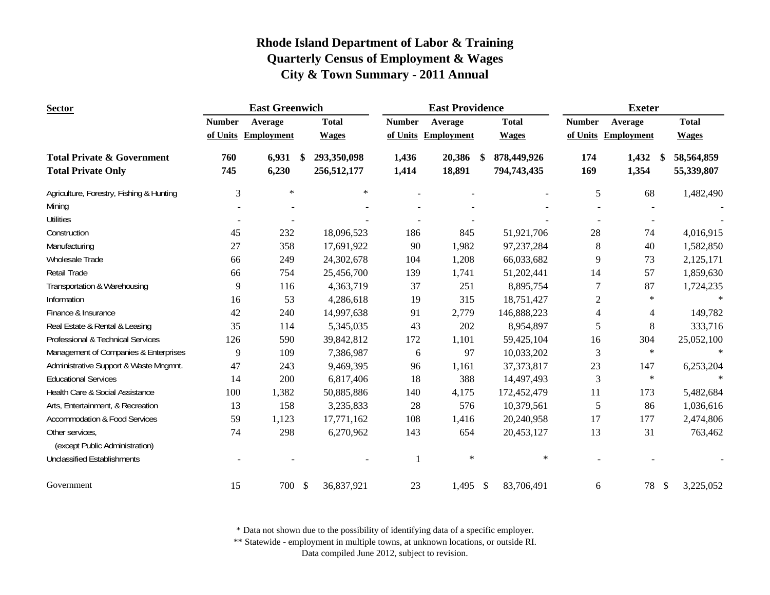| <b>Sector</b>                            |               | <b>East Greenwich</b> |                   |               | <b>East Providence</b> |               |              |                | <b>Exeter</b>       |                 |
|------------------------------------------|---------------|-----------------------|-------------------|---------------|------------------------|---------------|--------------|----------------|---------------------|-----------------|
|                                          | <b>Number</b> | Average               | <b>Total</b>      | <b>Number</b> | Average                |               | <b>Total</b> | <b>Number</b>  | Average             | <b>Total</b>    |
|                                          |               | of Units Employment   | <b>Wages</b>      |               | of Units Employment    |               | <b>Wages</b> |                | of Units Employment | <b>Wages</b>    |
| <b>Total Private &amp; Government</b>    | 760           | 6,931                 | \$<br>293,350,098 | 1,436         | 20,386                 |               | 878,449,926  | 174            | 1,432<br>-S         | 58,564,859      |
| <b>Total Private Only</b>                | 745           | 6,230                 | 256,512,177       | 1,414         | 18,891                 |               | 794,743,435  | 169            | 1,354               | 55,339,807      |
| Agriculture, Forestry, Fishing & Hunting | 3             | $\ast$                | $\ast$            |               |                        |               |              | 5              | 68                  | 1,482,490       |
| Mining                                   |               |                       |                   |               |                        |               |              |                |                     |                 |
| <b>Utilities</b>                         |               |                       |                   |               |                        |               |              |                |                     |                 |
| Construction                             | 45            | 232                   | 18,096,523        | 186           | 845                    |               | 51,921,706   | 28             | 74                  | 4,016,915       |
| Manufacturing                            | 27            | 358                   | 17,691,922        | 90            | 1,982                  |               | 97,237,284   | 8              | 40                  | 1,582,850       |
| Wholesale Trade                          | 66            | 249                   | 24,302,678        | 104           | 1,208                  |               | 66,033,682   | 9              | 73                  | 2,125,171       |
| Retail Trade                             | 66            | 754                   | 25,456,700        | 139           | 1,741                  |               | 51,202,441   | 14             | 57                  | 1,859,630       |
| Transportation & Warehousing             | 9             | 116                   | 4,363,719         | 37            | 251                    |               | 8,895,754    | 7              | 87                  | 1,724,235       |
| Information                              | 16            | 53                    | 4,286,618         | 19            | 315                    |               | 18,751,427   | $\overline{c}$ | $\ast$              |                 |
| Finance & Insurance                      | 42            | 240                   | 14,997,638        | 91            | 2,779                  |               | 146,888,223  | 4              | $\overline{4}$      | 149,782         |
| Real Estate & Rental & Leasing           | 35            | 114                   | 5,345,035         | 43            | 202                    |               | 8,954,897    | 5              | $\,8\,$             | 333,716         |
| Professional & Technical Services        | 126           | 590                   | 39,842,812        | 172           | 1,101                  |               | 59,425,104   | 16             | 304                 | 25,052,100      |
| Management of Companies & Enterprises    | 9             | 109                   | 7,386,987         | 6             | 97                     |               | 10,033,202   | 3              | $\ast$              | $\ast$          |
| Administrative Support & Waste Mngmnt.   | 47            | 243                   | 9,469,395         | 96            | 1,161                  |               | 37, 373, 817 | 23             | 147                 | 6,253,204       |
| <b>Educational Services</b>              | 14            | 200                   | 6,817,406         | 18            | 388                    |               | 14,497,493   | 3              | $\ast$              | $\ast$          |
| Health Care & Social Assistance          | 100           | 1,382                 | 50,885,886        | 140           | 4,175                  |               | 172,452,479  | 11             | 173                 | 5,482,684       |
| Arts, Entertainment, & Recreation        | 13            | 158                   | 3,235,833         | 28            | 576                    |               | 10,379,561   | 5              | 86                  | 1,036,616       |
| <b>Accommodation &amp; Food Services</b> | 59            | 1,123                 | 17,771,162        | 108           | 1,416                  |               | 20,240,958   | 17             | 177                 | 2,474,806       |
| Other services,                          | 74            | 298                   | 6,270,962         | 143           | 654                    |               | 20,453,127   | 13             | 31                  | 763,462         |
| (except Public Administration)           |               |                       |                   |               |                        |               |              |                |                     |                 |
| <b>Unclassified Establishments</b>       |               |                       |                   |               | $\ast$                 |               | $\ast$       |                |                     |                 |
| Government                               | 15            | 700                   | \$<br>36,837,921  | 23            | 1,495                  | $\mathcal{S}$ | 83,706,491   | 6              | 78                  | 3,225,052<br>\$ |

\* Data not shown due to the possibility of identifying data of a specific employer.

\*\* Statewide - employment in multiple towns, at unknown locations, or outside RI.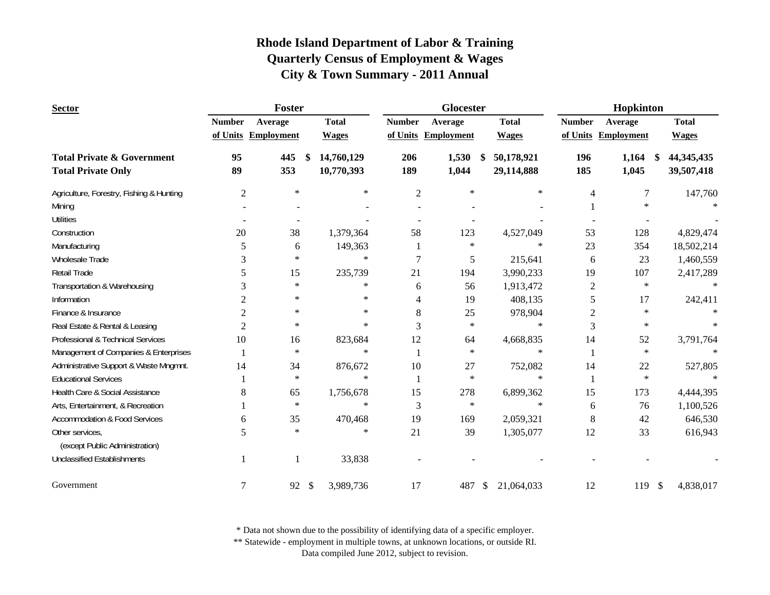| <b>Sector</b>                                                      |                | Foster              |                           |                          |                | Glocester           |                                | Hopkinton      |                      |                            |
|--------------------------------------------------------------------|----------------|---------------------|---------------------------|--------------------------|----------------|---------------------|--------------------------------|----------------|----------------------|----------------------------|
|                                                                    | <b>Number</b>  | Average             |                           | <b>Total</b>             | <b>Number</b>  | Average             | <b>Total</b>                   | <b>Number</b>  | Average              | <b>Total</b>               |
|                                                                    |                | of Units Employment |                           | <b>Wages</b>             |                | of Units Employment | <b>Wages</b>                   |                | of Units Employment  | <b>Wages</b>               |
| <b>Total Private &amp; Government</b><br><b>Total Private Only</b> | 95<br>89       | 445<br>353          | \$                        | 14,760,129<br>10,770,393 | 206<br>189     | 1,530<br>1,044      | 50,178,921<br>\$<br>29,114,888 | 196<br>185     | 1,164<br>-S<br>1,045 | 44, 345, 435<br>39,507,418 |
|                                                                    |                |                     |                           |                          |                |                     |                                |                |                      |                            |
| Agriculture, Forestry, Fishing & Hunting                           | $\overline{2}$ | $\ast$              |                           | $\ast$                   | $\overline{2}$ | $\ast$              | $\ast$                         | 4              | 7                    | 147,760                    |
| Mining                                                             |                |                     |                           |                          |                |                     |                                |                | $\ast$               |                            |
| <b>Utilities</b>                                                   |                |                     |                           |                          |                |                     |                                |                |                      |                            |
| Construction                                                       | 20             | 38                  |                           | 1,379,364                | 58             | 123                 | 4,527,049                      | 53             | 128                  | 4,829,474                  |
| Manufacturing                                                      | 5              | 6                   |                           | 149,363                  |                | $\ast$              | $\ast$                         | 23             | 354                  | 18,502,214                 |
| Wholesale Trade                                                    | 3              | $\ast$              |                           | $\ast$                   | 7              | 5                   | 215,641                        | 6              | 23                   | 1,460,559                  |
| <b>Retail Trade</b>                                                | 5              | 15                  |                           | 235,739                  | 21             | 194                 | 3,990,233                      | 19             | 107                  | 2,417,289                  |
| Transportation & Warehousing                                       | 3              | $\ast$              |                           | $\ast$                   | 6              | 56                  | 1,913,472                      | $\overline{2}$ | $\ast$               |                            |
| Information                                                        | 2              | $\ast$              |                           | $\ast$                   | 4              | 19                  | 408,135                        | 5              | 17                   | 242,411                    |
| Finance & Insurance                                                | 2              | $\ast$              |                           | $\ast$                   | 8              | 25                  | 978,904                        | 2              | $\ast$               |                            |
| Real Estate & Rental & Leasing                                     | 2              | $\ast$              |                           | $\ast$                   | 3              | $\star$             | $\ast$                         | 3              | $\ast$               |                            |
| Professional & Technical Services                                  | 10             | 16                  |                           | 823,684                  | 12             | 64                  | 4,668,835                      | 14             | 52                   | 3,791,764                  |
| Management of Companies & Enterprises                              |                | $\ast$              |                           | $\ast$                   |                | $\ast$              | $\ast$                         |                | $\star$              |                            |
| Administrative Support & Waste Mngmnt.                             | 14             | 34                  |                           | 876,672                  | 10             | 27                  | 752,082                        | 14             | 22                   | 527,805                    |
| <b>Educational Services</b>                                        |                | $\star$             |                           | $\ast$                   |                | $\ast$              | $\ast$                         |                | $\ast$               | $\ast$                     |
| Health Care & Social Assistance                                    | 8              | 65                  |                           | 1,756,678                | 15             | 278                 | 6,899,362                      | 15             | 173                  | 4,444,395                  |
| Arts, Entertainment, & Recreation                                  |                | $\ast$              |                           | $\ast$                   | 3              | $\ast$              | $\ast$                         | 6              | 76                   | 1,100,526                  |
| <b>Accommodation &amp; Food Services</b>                           | 6              | 35                  |                           | 470,468                  | 19             | 169                 | 2,059,321                      | 8              | 42                   | 646,530                    |
| Other services,                                                    | 5              | $\ast$              |                           | $\ast$                   | 21             | 39                  | 1,305,077                      | 12             | 33                   | 616,943                    |
| (except Public Administration)                                     |                |                     |                           |                          |                |                     |                                |                |                      |                            |
| <b>Unclassified Establishments</b>                                 | 1              | $\mathbf{1}$        |                           | 33,838                   |                |                     |                                |                |                      |                            |
| Government                                                         | 7              | 92                  | $\boldsymbol{\mathsf{S}}$ | 3,989,736                | 17             | 487                 | \$<br>21,064,033               | 12             | 119<br>$\mathcal{S}$ | 4,838,017                  |

\* Data not shown due to the possibility of identifying data of a specific employer.

\*\* Statewide - employment in multiple towns, at unknown locations, or outside RI.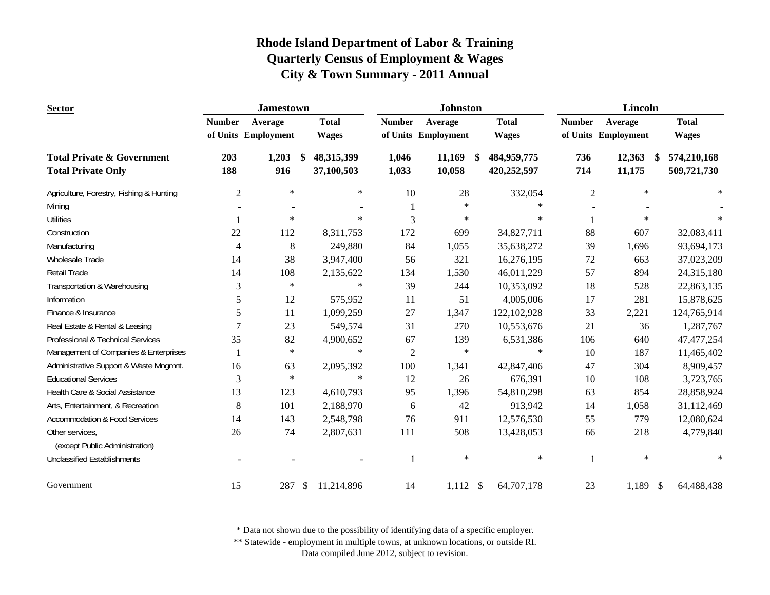| <b>Sector</b>                            |                | <b>Jamestown</b>    |              |               | <b>Johnston</b>   |                              |                | Lincoln             |                  |
|------------------------------------------|----------------|---------------------|--------------|---------------|-------------------|------------------------------|----------------|---------------------|------------------|
|                                          | <b>Number</b>  | Average             | <b>Total</b> | <b>Number</b> | Average           | <b>Total</b>                 | <b>Number</b>  | Average             | <b>Total</b>     |
|                                          |                | of Units Employment | <b>Wages</b> | of Units      | <b>Employment</b> | <b>Wages</b>                 |                | of Units Employment | <b>Wages</b>     |
| <b>Total Private &amp; Government</b>    | 203            | 1,203<br>\$         | 48,315,399   | 1,046         | 11,169            | 484,959,775<br><sup>\$</sup> | 736            | 12,363<br>\$        | 574,210,168      |
| <b>Total Private Only</b>                | 188            | 916                 | 37,100,503   | 1,033         | 10,058            | 420,252,597                  | 714            | 11,175              | 509,721,730      |
| Agriculture, Forestry, Fishing & Hunting | $\mathbf{2}$   | $\ast$              | $\ast$       | 10            | 28                | 332,054                      | $\overline{2}$ | $\star$             | $\ast$           |
| Mining                                   |                |                     |              | 1             | $\ast$            | $\ast$                       |                |                     |                  |
| <b>Utilities</b>                         |                | $\ast$              | $\ast$       | 3             | $\ast$            | $\ast$                       |                | $\ast$              |                  |
| Construction                             | 22             | 112                 | 8,311,753    | 172           | 699               | 34,827,711                   | 88             | 607                 | 32,083,411       |
| Manufacturing                            | $\overline{4}$ | 8                   | 249,880      | 84            | 1,055             | 35,638,272                   | 39             | 1,696               | 93,694,173       |
| Wholesale Trade                          | 14             | 38                  | 3,947,400    | 56            | 321               | 16,276,195                   | $72\,$         | 663                 | 37,023,209       |
| Retail Trade                             | 14             | 108                 | 2,135,622    | 134           | 1,530             | 46,011,229                   | 57             | 894                 | 24,315,180       |
| Transportation & Warehousing             | 3              | $\ast$              | $\ast$       | 39            | 244               | 10,353,092                   | 18             | 528                 | 22,863,135       |
| Information                              | 5              | 12                  | 575,952      | 11            | 51                | 4,005,006                    | 17             | 281                 | 15,878,625       |
| Finance & Insurance                      | 5              | 11                  | 1,099,259    | 27            | 1,347             | 122,102,928                  | 33             | 2,221               | 124,765,914      |
| Real Estate & Rental & Leasing           | $\overline{7}$ | 23                  | 549,574      | 31            | 270               | 10,553,676                   | 21             | 36                  | 1,287,767        |
| Professional & Technical Services        | 35             | 82                  | 4,900,652    | 67            | 139               | 6,531,386                    | 106            | 640                 | 47, 477, 254     |
| Management of Companies & Enterprises    |                | $\star$             | $\ast$       | $\sqrt{2}$    | $\ast$            | $\ast$                       | 10             | 187                 | 11,465,402       |
| Administrative Support & Waste Mngmnt.   | 16             | 63                  | 2,095,392    | 100           | 1,341             | 42,847,406                   | 47             | 304                 | 8,909,457        |
| <b>Educational Services</b>              | 3              | $\star$             | $\ast$       | 12            | 26                | 676,391                      | 10             | 108                 | 3,723,765        |
| Health Care & Social Assistance          | 13             | 123                 | 4,610,793    | 95            | 1,396             | 54,810,298                   | 63             | 854                 | 28,858,924       |
| Arts, Entertainment, & Recreation        | 8              | 101                 | 2,188,970    | 6             | 42                | 913,942                      | 14             | 1,058               | 31,112,469       |
| <b>Accommodation &amp; Food Services</b> | 14             | 143                 | 2,548,798    | 76            | 911               | 12,576,530                   | 55             | 779                 | 12,080,624       |
| Other services,                          | 26             | 74                  | 2,807,631    | 111           | 508               | 13,428,053                   | 66             | 218                 | 4,779,840        |
| (except Public Administration)           |                |                     |              |               |                   |                              |                |                     |                  |
| <b>Unclassified Establishments</b>       |                |                     |              | -1            | $\ast$            | $\ast$                       |                | $\ast$              | $\ast$           |
| Government                               | 15             | 287<br>\$           | 11,214,896   | 14            | $1,112$ \$        | 64,707,178                   | 23             | 1,189               | 64,488,438<br>\$ |

\* Data not shown due to the possibility of identifying data of a specific employer.

\*\* Statewide - employment in multiple towns, at unknown locations, or outside RI.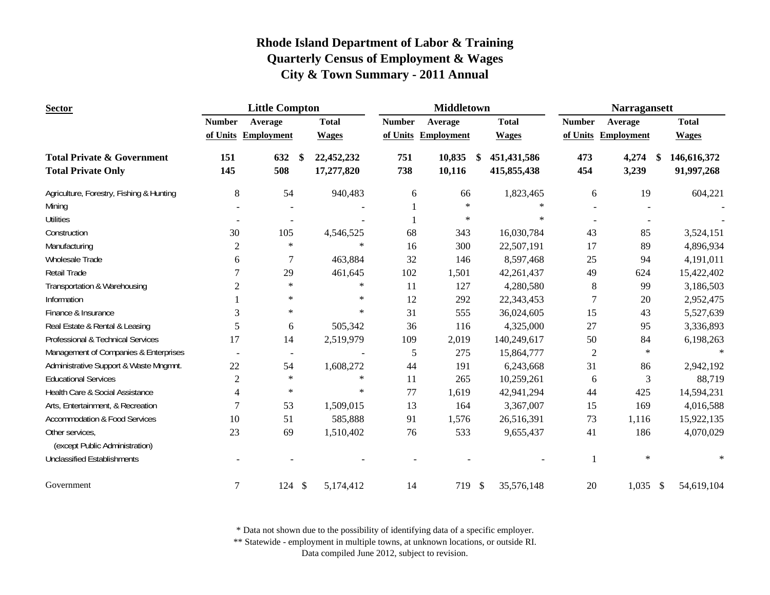| <b>Sector</b>                                                      |                | <b>Little Compton</b>       |                          |               | <b>Middletown</b>   |                                   |               | <b>Narragansett</b>    |                           |
|--------------------------------------------------------------------|----------------|-----------------------------|--------------------------|---------------|---------------------|-----------------------------------|---------------|------------------------|---------------------------|
|                                                                    | <b>Number</b>  | Average                     | <b>Total</b>             | <b>Number</b> | Average             | <b>Total</b>                      | <b>Number</b> | Average                | <b>Total</b>              |
|                                                                    |                | of Units Employment         | <b>Wages</b>             |               | of Units Employment | <b>Wages</b>                      |               | of Units Employment    | <b>Wages</b>              |
| <b>Total Private &amp; Government</b><br><b>Total Private Only</b> | 151<br>145     | 632<br><sup>\$</sup><br>508 | 22,452,232<br>17,277,820 | 751<br>738    | 10,835<br>10,116    | 451, 431, 586<br>S<br>415,855,438 | 473<br>454    | 4,274<br>\$<br>3,239   | 146,616,372<br>91,997,268 |
| Agriculture, Forestry, Fishing & Hunting                           | 8              | 54                          | 940,483                  | 6             | 66                  | 1,823,465                         | 6             | 19                     | 604,221                   |
| Mining                                                             |                |                             |                          |               | $\ast$              | $\ast$                            |               |                        |                           |
| <b>Utilities</b>                                                   |                | $\sim$                      |                          |               | $\ast$              | $\ast$                            |               |                        |                           |
| Construction                                                       | 30             | 105                         | 4,546,525                | 68            | 343                 | 16,030,784                        | 43            | 85                     | 3,524,151                 |
| Manufacturing                                                      | $\overline{c}$ | $\ast$                      | $\ast$                   | 16            | 300                 | 22,507,191                        | 17            | 89                     | 4,896,934                 |
| <b>Wholesale Trade</b>                                             | 6              | 7                           | 463,884                  | 32            | 146                 | 8,597,468                         | 25            | 94                     | 4,191,011                 |
| Retail Trade                                                       | 7              | 29                          | 461,645                  | 102           | 1,501               | 42,261,437                        | 49            | 624                    | 15,422,402                |
| Transportation & Warehousing                                       | $\overline{2}$ | $\ast$                      | $\ast$                   | 11            | 127                 | 4,280,580                         | 8             | 99                     | 3,186,503                 |
| Information                                                        |                | $\ast$                      | $\ast$                   | 12            | 292                 | 22,343,453                        | 7             | 20                     | 2,952,475                 |
| Finance & Insurance                                                | 3              | $\ast$                      | $\ast$                   | 31            | 555                 | 36,024,605                        | 15            | 43                     | 5,527,639                 |
| Real Estate & Rental & Leasing                                     | 5              | 6                           | 505,342                  | 36            | 116                 | 4,325,000                         | 27            | 95                     | 3,336,893                 |
| Professional & Technical Services                                  | 17             | 14                          | 2,519,979                | 109           | 2,019               | 140,249,617                       | 50            | 84                     | 6,198,263                 |
| Management of Companies & Enterprises                              |                | $\overline{\phantom{a}}$    |                          | 5             | 275                 | 15,864,777                        | $\sqrt{2}$    | $\ast$                 |                           |
| Administrative Support & Waste Mngmnt.                             | 22             | 54                          | 1,608,272                | 44            | 191                 | 6,243,668                         | 31            | 86                     | 2,942,192                 |
| <b>Educational Services</b>                                        | $\overline{2}$ | $\ast$                      | $\star$                  | 11            | 265                 | 10,259,261                        | 6             | 3                      | 88,719                    |
| Health Care & Social Assistance                                    | $\overline{4}$ | $\ast$                      | $\ast$                   | 77            | 1,619               | 42,941,294                        | 44            | 425                    | 14,594,231                |
| Arts, Entertainment, & Recreation                                  | 7              | 53                          | 1,509,015                | 13            | 164                 | 3,367,007                         | 15            | 169                    | 4,016,588                 |
| <b>Accommodation &amp; Food Services</b>                           | 10             | 51                          | 585,888                  | 91            | 1,576               | 26,516,391                        | 73            | 1,116                  | 15,922,135                |
| Other services,<br>(except Public Administration)                  | 23             | 69                          | 1,510,402                | 76            | 533                 | 9,655,437                         | 41            | 186                    | 4,070,029                 |
| <b>Unclassified Establishments</b>                                 |                |                             |                          |               |                     |                                   |               | $\ast$                 | $\ast$                    |
| Government                                                         | 7              | 124<br>$\mathcal{S}$        | 5,174,412                | 14            | 719 \$              | 35,576,148                        | 20            | 1,035<br>$\mathcal{S}$ | 54,619,104                |

\* Data not shown due to the possibility of identifying data of a specific employer.

\*\* Statewide - employment in multiple towns, at unknown locations, or outside RI.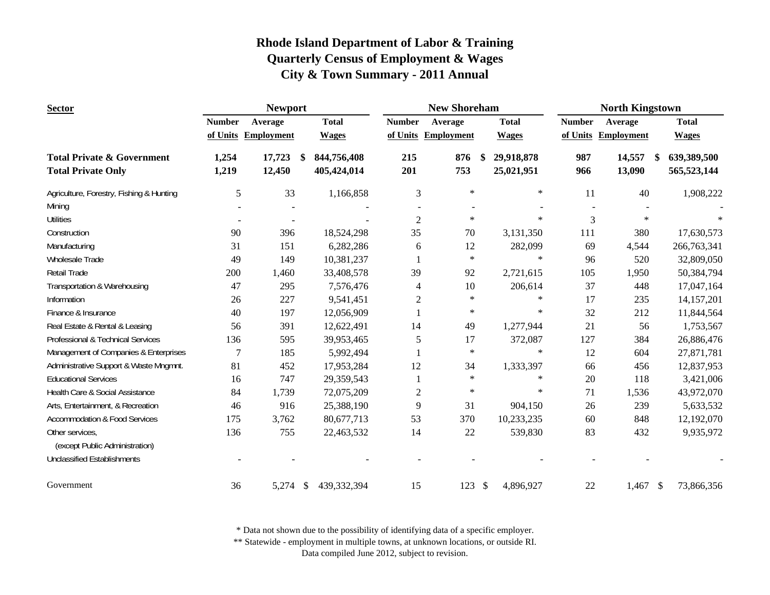| <b>Sector</b>                            |                | <b>Newport</b>      |                              |                | <b>New Shoreham</b> |                            | <b>North Kingstown</b> |                   |                             |  |
|------------------------------------------|----------------|---------------------|------------------------------|----------------|---------------------|----------------------------|------------------------|-------------------|-----------------------------|--|
|                                          | <b>Number</b>  | Average             | <b>Total</b>                 | <b>Number</b>  | Average             | <b>Total</b>               | <b>Number</b>          | Average           | <b>Total</b>                |  |
|                                          |                | of Units Employment | <b>Wages</b>                 |                | of Units Employment | <b>Wages</b>               | of Units               | <b>Employment</b> | <b>Wages</b>                |  |
| <b>Total Private &amp; Government</b>    | 1,254          | 17,723              | 844,756,408<br><sup>\$</sup> | 215            | 876                 | 29,918,878<br>\$           | 987                    | 14,557            | 639,389,500<br>\$           |  |
| <b>Total Private Only</b>                | 1,219          | 12,450              | 405,424,014                  | 201            | 753                 | 25,021,951                 | 966                    | 13,090            | 565,523,144                 |  |
| Agriculture, Forestry, Fishing & Hunting | $\mathfrak{S}$ | 33                  | 1,166,858                    | 3              | $\ast$              | $\ast$                     | 11                     | 40                | 1,908,222                   |  |
| Mining                                   |                |                     |                              |                |                     |                            |                        |                   |                             |  |
| <b>Utilities</b>                         |                | $\blacksquare$      |                              | $\mathbf{2}$   | $\ast$              | $\ast$                     | 3                      | $\star$           |                             |  |
| Construction                             | 90             | 396                 | 18,524,298                   | 35             | 70                  | 3,131,350                  | 111                    | 380               | 17,630,573                  |  |
| Manufacturing                            | 31             | 151                 | 6,282,286                    | 6              | 12                  | 282,099                    | 69                     | 4,544             | 266,763,341                 |  |
| Wholesale Trade                          | 49             | 149                 | 10,381,237                   |                | $\ast$              | $\ast$                     | 96                     | 520               | 32,809,050                  |  |
| Retail Trade                             | 200            | 1,460               | 33,408,578                   | 39             | 92                  | 2,721,615                  | 105                    | 1,950             | 50,384,794                  |  |
| Transportation & Warehousing             | 47             | 295                 | 7,576,476                    | 4              | 10                  | 206,614                    | 37                     | 448               | 17,047,164                  |  |
| Information                              | 26             | 227                 | 9,541,451                    | $\overline{2}$ | $\ast$              | $\ast$                     | 17                     | 235               | 14,157,201                  |  |
| Finance & Insurance                      | 40             | 197                 | 12,056,909                   |                | $\ast$              | $\ast$                     | 32                     | 212               | 11,844,564                  |  |
| Real Estate & Rental & Leasing           | 56             | 391                 | 12,622,491                   | 14             | 49                  | 1,277,944                  | 21                     | 56                | 1,753,567                   |  |
| Professional & Technical Services        | 136            | 595                 | 39,953,465                   | 5              | 17                  | 372,087                    | 127                    | 384               | 26,886,476                  |  |
| Management of Companies & Enterprises    | $\overline{7}$ | 185                 | 5,992,494                    |                | $\star$             | $\ast$                     | 12                     | 604               | 27,871,781                  |  |
| Administrative Support & Waste Mngmnt.   | 81             | 452                 | 17,953,284                   | 12             | 34                  | 1,333,397                  | 66                     | 456               | 12,837,953                  |  |
| <b>Educational Services</b>              | 16             | 747                 | 29,359,543                   |                | $\star$             | $\ast$                     | $20\,$                 | 118               | 3,421,006                   |  |
| Health Care & Social Assistance          | 84             | 1,739               | 72,075,209                   | $\overline{c}$ | $\ast$              | $\ast$                     | 71                     | 1,536             | 43,972,070                  |  |
| Arts, Entertainment, & Recreation        | 46             | 916                 | 25,388,190                   | 9              | 31                  | 904,150                    | 26                     | 239               | 5,633,532                   |  |
| <b>Accommodation &amp; Food Services</b> | 175            | 3,762               | 80,677,713                   | 53             | 370                 | 10,233,235                 | 60                     | 848               | 12,192,070                  |  |
| Other services,                          | 136            | 755                 | 22,463,532                   | 14             | $22\,$              | 539,830                    | 83                     | 432               | 9,935,972                   |  |
| (except Public Administration)           |                |                     |                              |                |                     |                            |                        |                   |                             |  |
| <b>Unclassified Establishments</b>       |                |                     |                              |                |                     |                            |                        |                   |                             |  |
| Government                               | 36             | $5,274$ \$          | 439,332,394                  | 15             | 123                 | $\mathcal{S}$<br>4,896,927 | 22                     | 1,467             | $\mathcal{S}$<br>73,866,356 |  |

\* Data not shown due to the possibility of identifying data of a specific employer.

\*\* Statewide - employment in multiple towns, at unknown locations, or outside RI.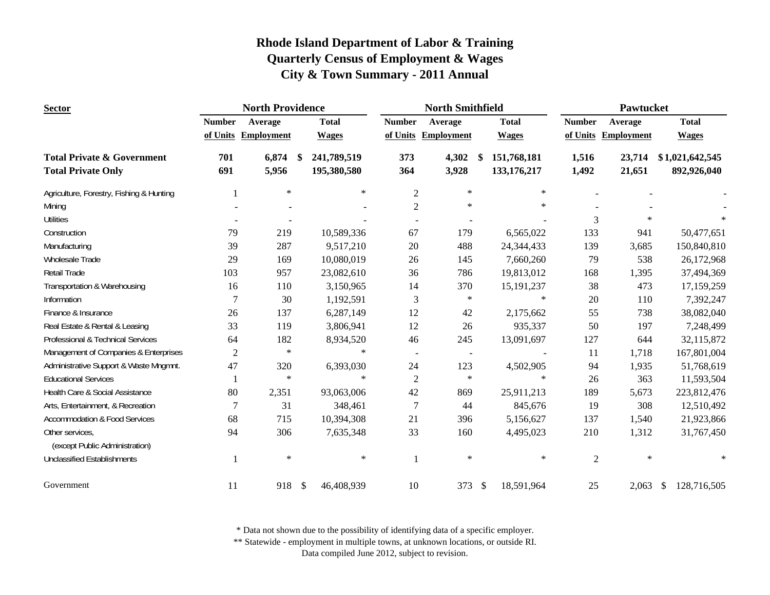| <b>Sector</b>                                     |                | <b>North Providence</b> |               |             | <b>North Smithfield</b> |                     |               | Pawtucket    |                |                     |                   |
|---------------------------------------------------|----------------|-------------------------|---------------|-------------|-------------------------|---------------------|---------------|--------------|----------------|---------------------|-------------------|
|                                                   | <b>Number</b>  | Average                 | <b>Total</b>  |             | <b>Number</b>           | Average             |               | <b>Total</b> | <b>Number</b>  | Average             | <b>Total</b>      |
|                                                   |                | of Units Employment     | <b>Wages</b>  |             |                         | of Units Employment |               | <b>Wages</b> |                | of Units Employment | <b>Wages</b>      |
| <b>Total Private &amp; Government</b>             | 701            | 6,874                   | -S            | 241,789,519 | 373                     | 4,302               | -S            | 151,768,181  | 1,516          | 23,714              | \$1,021,642,545   |
| <b>Total Private Only</b>                         | 691            | 5,956                   |               | 195,380,580 | 364                     | 3,928               |               | 133,176,217  | 1,492          | 21,651              | 892,926,040       |
| Agriculture, Forestry, Fishing & Hunting          |                | $\ast$                  |               | $\ast$      | $\overline{c}$          | $\ast$              |               | $\ast$       |                |                     |                   |
| Mining                                            |                |                         |               |             | $\overline{2}$          | $\ast$              |               | $\ast$       |                |                     |                   |
| <b>Utilities</b>                                  |                |                         |               |             |                         |                     |               |              | 3              | $\ast$              |                   |
| Construction                                      | 79             | 219                     |               | 10,589,336  | 67                      | 179                 |               | 6,565,022    | 133            | 941                 | 50,477,651        |
| Manufacturing                                     | 39             | 287                     |               | 9,517,210   | 20                      | 488                 |               | 24,344,433   | 139            | 3,685               | 150,840,810       |
| Wholesale Trade                                   | 29             | 169                     |               | 10,080,019  | 26                      | 145                 |               | 7,660,260    | 79             | 538                 | 26,172,968        |
| Retail Trade                                      | 103            | 957                     |               | 23,082,610  | 36                      | 786                 |               | 19,813,012   | 168            | 1,395               | 37,494,369        |
| Transportation & Warehousing                      | 16             | 110                     |               | 3,150,965   | 14                      | 370                 |               | 15, 191, 237 | 38             | 473                 | 17,159,259        |
| Information                                       | 7              | 30                      |               | 1,192,591   | 3                       | $\ast$              |               | $\ast$       | 20             | 110                 | 7,392,247         |
| Finance & Insurance                               | 26             | 137                     |               | 6,287,149   | 12                      | 42                  |               | 2,175,662    | 55             | 738                 | 38,082,040        |
| Real Estate & Rental & Leasing                    | 33             | 119                     |               | 3,806,941   | 12                      | 26                  |               | 935,337      | 50             | 197                 | 7,248,499         |
| Professional & Technical Services                 | 64             | 182                     |               | 8,934,520   | 46                      | 245                 |               | 13,091,697   | 127            | 644                 | 32,115,872        |
| Management of Companies & Enterprises             | $\overline{c}$ | $\ast$                  |               | $\ast$      | $\sim$                  | $\blacksquare$      |               |              | 11             | 1,718               | 167,801,004       |
| Administrative Support & Waste Mngmnt.            | 47             | 320                     |               | 6,393,030   | 24                      | 123                 |               | 4,502,905    | 94             | 1,935               | 51,768,619        |
| <b>Educational Services</b>                       |                | $\ast$                  |               | $\ast$      | $\mathfrak{2}$          | $\ast$              |               | $\ast$       | 26             | 363                 | 11,593,504        |
| Health Care & Social Assistance                   | 80             | 2,351                   |               | 93,063,006  | 42                      | 869                 |               | 25,911,213   | 189            | 5,673               | 223,812,476       |
| Arts, Entertainment, & Recreation                 | 7              | 31                      |               | 348,461     | $\overline{7}$          | 44                  |               | 845,676      | 19             | 308                 | 12,510,492        |
| <b>Accommodation &amp; Food Services</b>          | 68             | 715                     |               | 10,394,308  | 21                      | 396                 |               | 5,156,627    | 137            | 1,540               | 21,923,866        |
| Other services,<br>(except Public Administration) | 94             | 306                     |               | 7,635,348   | 33                      | 160                 |               | 4,495,023    | 210            | 1,312               | 31,767,450        |
| <b>Unclassified Establishments</b>                |                | $\ast$                  |               | $\ast$      |                         | $\ast$              |               | $\ast$       | $\overline{2}$ | $\ast$              | $\ast$            |
| Government                                        | 11             | 918                     | $\mathcal{S}$ | 46,408,939  | 10                      | 373                 | $\mathcal{S}$ | 18,591,964   | 25             | 2,063               | 128,716,505<br>\$ |

\* Data not shown due to the possibility of identifying data of a specific employer.

\*\* Statewide - employment in multiple towns, at unknown locations, or outside RI.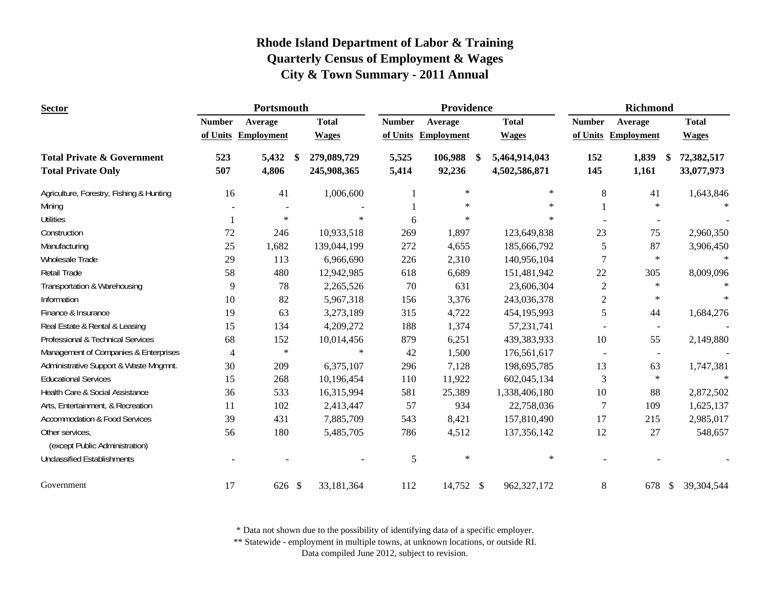| <b>Sector</b>                                     |               | Portsmouth          |                    |               | Providence          |                     |                | <b>Richmond</b>          |                    |
|---------------------------------------------------|---------------|---------------------|--------------------|---------------|---------------------|---------------------|----------------|--------------------------|--------------------|
|                                                   | <b>Number</b> | Average             | <b>Total</b>       | <b>Number</b> | Average             | <b>Total</b>        | <b>Number</b>  | Average                  | <b>Total</b>       |
|                                                   |               | of Units Employment | <b>Wages</b>       |               | of Units Employment | <b>Wages</b>        |                | of Units Employment      | <b>Wages</b>       |
| <b>Total Private &amp; Government</b>             | 523           | 5,432               | 279,089,729<br>-\$ | 5,525         | 106,988             | 5,464,914,043<br>-S | 152            | 1,839                    | 72,382,517<br>- \$ |
| <b>Total Private Only</b>                         | 507           | 4,806               | 245,908,365        | 5,414         | 92,236              | 4,502,586,871       | 145            | 1,161                    | 33,077,973         |
| Agriculture, Forestry, Fishing & Hunting          | 16            | 41                  | 1,006,600          |               | $\ast$              | $\ast$              | 8              | 41                       | 1,643,846          |
| Mining                                            |               |                     |                    |               | $\ast$              | $\ast$              |                | $\ast$                   |                    |
| <b>Utilities</b>                                  |               | $\ast$              | $\mathbf{x}$       | 6             | $\ast$              | $\ast$              |                |                          |                    |
| Construction                                      | 72            | 246                 | 10,933,518         | 269           | 1,897               | 123,649,838         | 23             | 75                       | 2,960,350          |
| Manufacturing                                     | 25            | 1,682               | 139,044,199        | 272           | 4,655               | 185,666,792         | 5              | 87                       | 3,906,450          |
| Wholesale Trade                                   | 29            | 113                 | 6,966,690          | 226           | 2,310               | 140,956,104         | 7              | $\ast$                   | $\ast$             |
| Retail Trade                                      | 58            | 480                 | 12,942,985         | 618           | 6,689               | 151,481,942         | 22             | 305                      | 8,009,096          |
| Transportation & Warehousing                      | 9             | 78                  | 2,265,526          | $70\,$        | 631                 | 23,606,304          | $\overline{2}$ | $\ast$                   |                    |
| Information                                       | 10            | 82                  | 5,967,318          | 156           | 3,376               | 243,036,378         | $\overline{c}$ | $\ast$                   | $\ast$             |
| Finance & Insurance                               | 19            | 63                  | 3,273,189          | 315           | 4,722               | 454,195,993         | 5              | 44                       | 1,684,276          |
| Real Estate & Rental & Leasing                    | 15            | 134                 | 4,209,272          | 188           | 1,374               | 57,231,741          |                |                          |                    |
| Professional & Technical Services                 | 68            | 152                 | 10,014,456         | 879           | 6,251               | 439,383,933         | 10             | 55                       | 2,149,880          |
| Management of Companies & Enterprises             | 4             | $\ast$              | $\star$            | 42            | 1,500               | 176,561,617         | $\blacksquare$ | $\overline{\phantom{a}}$ |                    |
| Administrative Support & Waste Mngmnt.            | 30            | 209                 | 6,375,107          | 296           | 7,128               | 198,695,785         | 13             | 63                       | 1,747,381          |
| <b>Educational Services</b>                       | 15            | 268                 | 10,196,454         | 110           | 11,922              | 602,045,134         | 3              | $\ast$                   | $\ast$             |
| Health Care & Social Assistance                   | 36            | 533                 | 16,315,994         | 581           | 25,389              | 1,338,406,180       | 10             | 88                       | 2,872,502          |
| Arts, Entertainment, & Recreation                 | 11            | 102                 | 2,413,447          | 57            | 934                 | 22,758,036          | 7              | 109                      | 1,625,137          |
| <b>Accommodation &amp; Food Services</b>          | 39            | 431                 | 7,885,709          | 543           | 8,421               | 157,810,490         | 17             | 215                      | 2,985,017          |
| Other services,<br>(except Public Administration) | 56            | 180                 | 5,485,705          | 786           | 4,512               | 137, 356, 142       | 12             | 27                       | 548,657            |
| <b>Unclassified Establishments</b>                |               |                     |                    | 5             | $\ast$              | $\ast$              |                |                          |                    |
| Government                                        | 17            | 626 \$              | 33,181,364         | 112           | 14,752 \$           | 962,327,172         | 8              | 678                      | 39,304,544<br>\$   |

\* Data not shown due to the possibility of identifying data of a specific employer.

\*\* Statewide - employment in multiple towns, at unknown locations, or outside RI.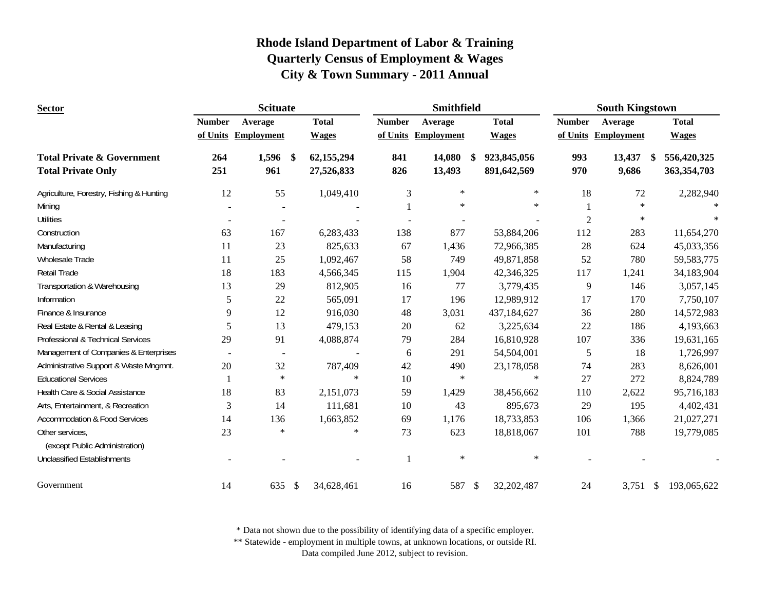| <b>Sector</b>                                                      | <b>Scituate</b><br>Smithfield |                      |                          |               |                     | <b>South Kingstown</b>            |                |                        |                            |  |
|--------------------------------------------------------------------|-------------------------------|----------------------|--------------------------|---------------|---------------------|-----------------------------------|----------------|------------------------|----------------------------|--|
|                                                                    | <b>Number</b>                 | Average              | <b>Total</b>             | <b>Number</b> | Average             | <b>Total</b>                      | <b>Number</b>  | Average                | <b>Total</b>               |  |
|                                                                    |                               | of Units Employment  | <b>Wages</b>             |               | of Units Employment | <b>Wages</b>                      |                | of Units Employment    | <b>Wages</b>               |  |
| <b>Total Private &amp; Government</b><br><b>Total Private Only</b> | 264<br>251                    | 1,596<br>\$<br>961   | 62,155,294<br>27,526,833 | 841<br>826    | 14,080<br>13,493    | 923,845,056<br>-\$<br>891,642,569 | 993<br>970     | 13,437<br>-\$<br>9,686 | 556,420,325<br>363,354,703 |  |
|                                                                    |                               |                      |                          |               |                     |                                   |                |                        |                            |  |
| Agriculture, Forestry, Fishing & Hunting                           | 12                            | 55                   | 1,049,410                | 3             | $\ast$              | $\ast$                            | 18             | 72                     | 2,282,940                  |  |
| Mining                                                             |                               |                      |                          |               | $\ast$              | $\ast$                            |                | $\ast$                 |                            |  |
| <b>Utilities</b>                                                   |                               |                      |                          |               |                     |                                   | $\overline{2}$ | $\ast$                 |                            |  |
| Construction                                                       | 63                            | 167                  | 6,283,433                | 138           | 877                 | 53,884,206                        | 112            | 283                    | 11,654,270                 |  |
| Manufacturing                                                      | 11                            | 23                   | 825,633                  | 67            | 1,436               | 72,966,385                        | 28             | 624                    | 45,033,356                 |  |
| Wholesale Trade                                                    | 11                            | 25                   | 1,092,467                | 58            | 749                 | 49,871,858                        | 52             | 780                    | 59, 583, 775               |  |
| Retail Trade                                                       | 18                            | 183                  | 4,566,345                | 115           | 1,904               | 42,346,325                        | 117            | 1,241                  | 34,183,904                 |  |
| Transportation & Warehousing                                       | 13                            | 29                   | 812,905                  | 16            | 77                  | 3,779,435                         | 9              | 146                    | 3,057,145                  |  |
| Information                                                        | 5                             | 22                   | 565,091                  | 17            | 196                 | 12,989,912                        | 17             | 170                    | 7,750,107                  |  |
| Finance & Insurance                                                | 9                             | 12                   | 916,030                  | 48            | 3,031               | 437,184,627                       | 36             | 280                    | 14,572,983                 |  |
| Real Estate & Rental & Leasing                                     | 5                             | 13                   | 479,153                  | 20            | 62                  | 3,225,634                         | 22             | 186                    | 4,193,663                  |  |
| Professional & Technical Services                                  | 29                            | 91                   | 4,088,874                | 79            | 284                 | 16,810,928                        | 107            | 336                    | 19,631,165                 |  |
| Management of Companies & Enterprises                              |                               | $\blacksquare$       |                          | 6             | 291                 | 54,504,001                        | 5              | 18                     | 1,726,997                  |  |
| Administrative Support & Waste Mngmnt.                             | 20                            | 32                   | 787,409                  | 42            | 490                 | 23,178,058                        | 74             | 283                    | 8,626,001                  |  |
| <b>Educational Services</b>                                        |                               | $\ast$               | $\ast$                   | 10            | $\ast$              | $\ast$                            | 27             | 272                    | 8,824,789                  |  |
| Health Care & Social Assistance                                    | 18                            | 83                   | 2,151,073                | 59            | 1,429               | 38,456,662                        | 110            | 2,622                  | 95,716,183                 |  |
| Arts, Entertainment, & Recreation                                  | 3                             | 14                   | 111,681                  | 10            | 43                  | 895,673                           | 29             | 195                    | 4,402,431                  |  |
| <b>Accommodation &amp; Food Services</b>                           | 14                            | 136                  | 1,663,852                | 69            | 1,176               | 18,733,853                        | 106            | 1,366                  | 21,027,271                 |  |
| Other services,<br>(except Public Administration)                  | 23                            | $\ast$               | $\ast$                   | 73            | 623                 | 18,818,067                        | 101            | 788                    | 19,779,085                 |  |
| <b>Unclassified Establishments</b>                                 |                               |                      |                          | $\mathbf{1}$  | $\ast$              | $\ast$                            |                |                        |                            |  |
| Government                                                         | 14                            | $\mathcal{S}$<br>635 | 34,628,461               | 16            | 587                 | 32,202,487<br>$\mathcal{S}$       | 24             | 3,751                  | 193,065,622<br>\$          |  |

\* Data not shown due to the possibility of identifying data of a specific employer.

\*\* Statewide - employment in multiple towns, at unknown locations, or outside RI.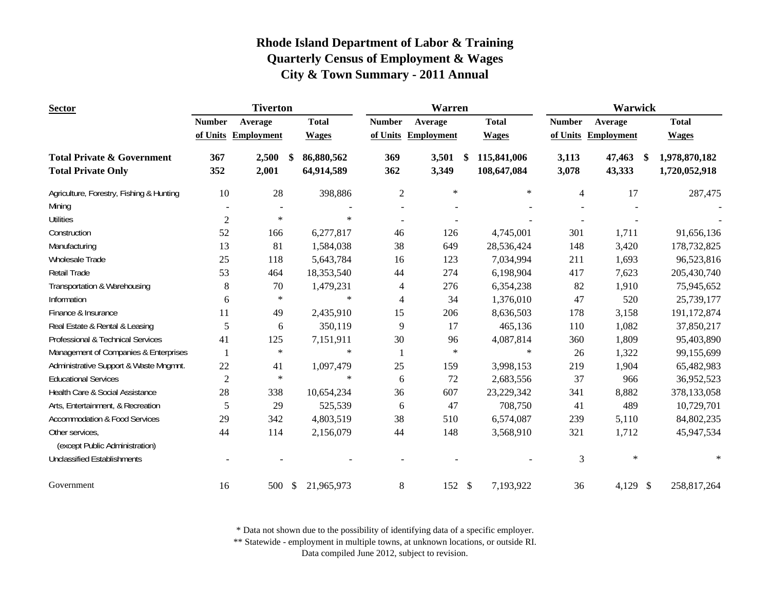| <b>Sector</b>                            |                | <b>Tiverton</b>   |               |              |                | <b>Warren</b>     |                   | Warwick        |                   |    |               |
|------------------------------------------|----------------|-------------------|---------------|--------------|----------------|-------------------|-------------------|----------------|-------------------|----|---------------|
|                                          | <b>Number</b>  | Average           |               | <b>Total</b> | <b>Number</b>  | Average           | <b>Total</b>      | <b>Number</b>  | Average           |    | <b>Total</b>  |
|                                          | of Units       | <b>Employment</b> |               | <b>Wages</b> | of Units       | <b>Employment</b> | <b>Wages</b>      | of Units       | <b>Employment</b> |    | <b>Wages</b>  |
| <b>Total Private &amp; Government</b>    | 367            | 2,500             | \$            | 86,880,562   | 369            | 3,501             | \$<br>115,841,006 | 3,113          | 47,463            | S. | 1,978,870,182 |
| <b>Total Private Only</b>                | 352            | 2,001             |               | 64,914,589   | 362            | 3,349             | 108,647,084       | 3,078          | 43,333            |    | 1,720,052,918 |
| Agriculture, Forestry, Fishing & Hunting | 10             | 28                |               | 398,886      | $\overline{2}$ | $\ast$            | $\ast$            | $\overline{4}$ | 17                |    | 287,475       |
| Mining                                   |                |                   |               |              |                |                   |                   |                |                   |    |               |
| <b>Utilities</b>                         | $\sqrt{2}$     | $\ast$            |               | $\ast$       | $\blacksquare$ |                   |                   |                |                   |    |               |
| Construction                             | 52             | 166               |               | 6,277,817    | 46             | 126               | 4,745,001         | 301            | 1,711             |    | 91,656,136    |
| Manufacturing                            | 13             | 81                |               | 1,584,038    | 38             | 649               | 28,536,424        | 148            | 3,420             |    | 178,732,825   |
| Wholesale Trade                          | 25             | 118               |               | 5,643,784    | 16             | 123               | 7,034,994         | 211            | 1,693             |    | 96,523,816    |
| Retail Trade                             | 53             | 464               |               | 18,353,540   | 44             | 274               | 6,198,904         | 417            | 7,623             |    | 205,430,740   |
| Transportation & Warehousing             | $8\,$          | 70                |               | 1,479,231    | 4              | 276               | 6,354,238         | 82             | 1,910             |    | 75,945,652    |
| Information                              | 6              | $\ast$            |               | $\ast$       | 4              | 34                | 1,376,010         | 47             | 520               |    | 25,739,177    |
| Finance & Insurance                      | 11             | 49                |               | 2,435,910    | 15             | 206               | 8,636,503         | 178            | 3,158             |    | 191,172,874   |
| Real Estate & Rental & Leasing           | 5              | 6                 |               | 350,119      | 9              | 17                | 465,136           | 110            | 1,082             |    | 37,850,217    |
| Professional & Technical Services        | 41             | 125               |               | 7,151,911    | 30             | 96                | 4,087,814         | 360            | 1,809             |    | 95,403,890    |
| Management of Companies & Enterprises    | $\mathbf{1}$   | $\ast$            |               | $\ast$       | $\mathbf{1}$   | $\ast$            | $\ast$            | 26             | 1,322             |    | 99,155,699    |
| Administrative Support & Waste Mngmnt.   | 22             | 41                |               | 1,097,479    | 25             | 159               | 3,998,153         | 219            | 1,904             |    | 65,482,983    |
| <b>Educational Services</b>              | $\overline{2}$ | $\ast$            |               | $\ast$       | 6              | 72                | 2,683,556         | 37             | 966               |    | 36,952,523    |
| Health Care & Social Assistance          | 28             | 338               |               | 10,654,234   | 36             | 607               | 23,229,342        | 341            | 8,882             |    | 378,133,058   |
| Arts, Entertainment, & Recreation        | 5              | 29                |               | 525,539      | 6              | 47                | 708,750           | 41             | 489               |    | 10,729,701    |
| <b>Accommodation &amp; Food Services</b> | 29             | 342               |               | 4,803,519    | 38             | 510               | 6,574,087         | 239            | 5,110             |    | 84,802,235    |
| Other services,                          | 44             | 114               |               | 2,156,079    | 44             | 148               | 3,568,910         | 321            | 1,712             |    | 45,947,534    |
| (except Public Administration)           |                |                   |               |              |                |                   |                   |                |                   |    |               |
| <b>Unclassified Establishments</b>       |                |                   |               |              |                |                   |                   | 3              | $\ast$            |    | $\ast$        |
| Government                               | 16             | 500               | $\mathcal{S}$ | 21,965,973   | 8              | 152S              | 7,193,922         | 36             | 4,129 \$          |    | 258,817,264   |

\* Data not shown due to the possibility of identifying data of a specific employer.

\*\* Statewide - employment in multiple towns, at unknown locations, or outside RI.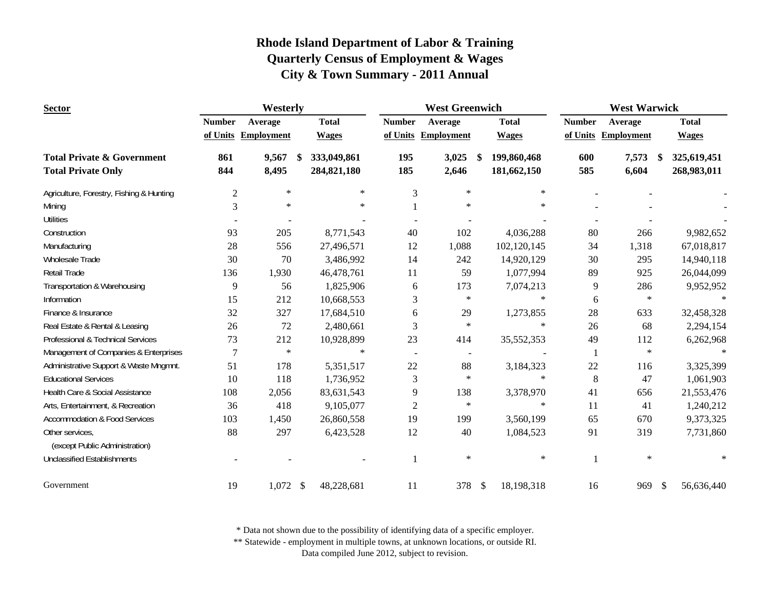| <b>Sector</b>                                     | Westerly       |                     |   |              |                | <b>West Greenwich</b>    |      |              | <b>West Warwick</b> |                     |                   |  |  |
|---------------------------------------------------|----------------|---------------------|---|--------------|----------------|--------------------------|------|--------------|---------------------|---------------------|-------------------|--|--|
|                                                   | <b>Number</b>  | Average             |   | <b>Total</b> | <b>Number</b>  | Average                  |      | <b>Total</b> | <b>Number</b>       | Average             | <b>Total</b>      |  |  |
|                                                   |                | of Units Employment |   | <b>Wages</b> |                | of Units Employment      |      | <b>Wages</b> |                     | of Units Employment | <b>Wages</b>      |  |  |
| <b>Total Private &amp; Government</b>             | 861            | 9,567               | S | 333,049,861  | 195            | 3,025                    | -S   | 199,860,468  | 600                 | 7,573               | 325,619,451<br>S. |  |  |
| <b>Total Private Only</b>                         | 844            | 8,495               |   | 284,821,180  | 185            | 2,646                    |      | 181,662,150  | 585                 | 6,604               | 268,983,011       |  |  |
| Agriculture, Forestry, Fishing & Hunting          | $\overline{c}$ | $\ast$              |   | $\ast$       | 3              | $\ast$                   |      | $\ast$       |                     |                     |                   |  |  |
| Mining                                            | 3              | $\ast$              |   | $\ast$       |                | $\ast$                   |      | $\ast$       |                     |                     |                   |  |  |
| <b>Utilities</b>                                  |                |                     |   |              |                |                          |      |              |                     |                     |                   |  |  |
| Construction                                      | 93             | 205                 |   | 8,771,543    | 40             | 102                      |      | 4,036,288    | 80                  | 266                 | 9,982,652         |  |  |
| Manufacturing                                     | 28             | 556                 |   | 27,496,571   | 12             | 1,088                    |      | 102,120,145  | 34                  | 1,318               | 67,018,817        |  |  |
| Wholesale Trade                                   | 30             | 70                  |   | 3,486,992    | 14             | 242                      |      | 14,920,129   | 30                  | 295                 | 14,940,118        |  |  |
| Retail Trade                                      | 136            | 1,930               |   | 46,478,761   | 11             | 59                       |      | 1,077,994    | 89                  | 925                 | 26,044,099        |  |  |
| Transportation & Warehousing                      | 9              | 56                  |   | 1,825,906    | 6              | 173                      |      | 7,074,213    | 9                   | 286                 | 9,952,952         |  |  |
| Information                                       | 15             | 212                 |   | 10,668,553   | 3              | $\ast$                   |      | $\ast$       | 6                   | $\ast$              |                   |  |  |
| Finance & Insurance                               | 32             | 327                 |   | 17,684,510   | 6              | 29                       |      | 1,273,855    | 28                  | 633                 | 32,458,328        |  |  |
| Real Estate & Rental & Leasing                    | 26             | 72                  |   | 2,480,661    | 3              | $\ast$                   |      | $\ast$       | 26                  | 68                  | 2,294,154         |  |  |
| Professional & Technical Services                 | 73             | 212                 |   | 10,928,899   | 23             | 414                      |      | 35,552,353   | 49                  | 112                 | 6,262,968         |  |  |
| Management of Companies & Enterprises             | 7              | $\ast$              |   | $\ast$       | $\blacksquare$ | $\overline{\phantom{a}}$ |      |              |                     | $\star$             | $\ast$            |  |  |
| Administrative Support & Waste Mngmnt.            | 51             | 178                 |   | 5,351,517    | 22             | 88                       |      | 3,184,323    | 22                  | 116                 | 3,325,399         |  |  |
| <b>Educational Services</b>                       | 10             | 118                 |   | 1,736,952    | 3              | $\ast$                   |      | $\ast$       | 8                   | 47                  | 1,061,903         |  |  |
| Health Care & Social Assistance                   | 108            | 2,056               |   | 83,631,543   | 9              | 138                      |      | 3,378,970    | 41                  | 656                 | 21,553,476        |  |  |
| Arts, Entertainment, & Recreation                 | 36             | 418                 |   | 9,105,077    | $\mathfrak{2}$ | $\ast$                   |      | $\ast$       | 11                  | 41                  | 1,240,212         |  |  |
| <b>Accommodation &amp; Food Services</b>          | 103            | 1,450               |   | 26,860,558   | 19             | 199                      |      | 3,560,199    | 65                  | 670                 | 9,373,325         |  |  |
| Other services,<br>(except Public Administration) | 88             | 297                 |   | 6,423,528    | 12             | 40                       |      | 1,084,523    | 91                  | 319                 | 7,731,860         |  |  |
| <b>Unclassified Establishments</b>                |                |                     |   |              | 1              | $\ast$                   |      | $\ast$       |                     | $\ast$              | *                 |  |  |
| Government                                        | 19             | $1,072$ \$          |   | 48,228,681   | 11             | 378                      | - \$ | 18,198,318   | 16                  | 969                 | -\$<br>56,636,440 |  |  |

\* Data not shown due to the possibility of identifying data of a specific employer.

\*\* Statewide - employment in multiple towns, at unknown locations, or outside RI.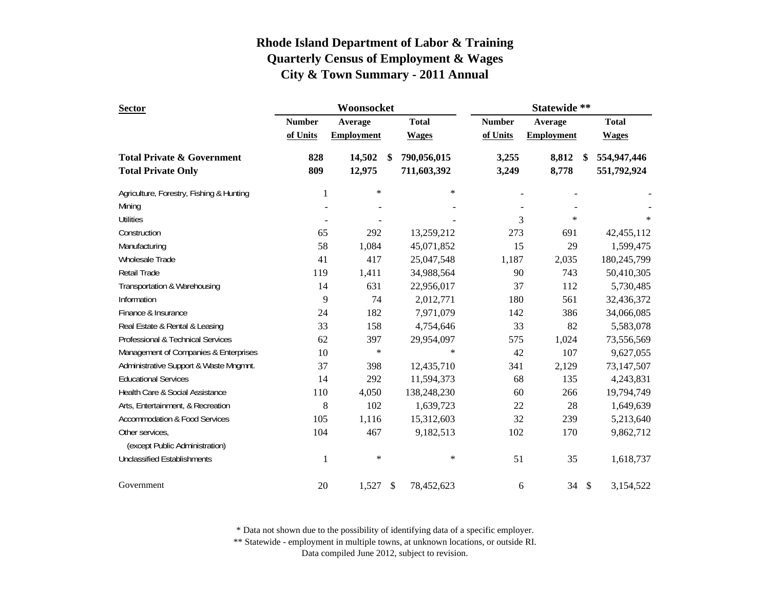| <b>Sector</b>                            |               | Woonsocket        |               |              | Statewide **  |                   |      |              |  |
|------------------------------------------|---------------|-------------------|---------------|--------------|---------------|-------------------|------|--------------|--|
|                                          | <b>Number</b> | Average           |               | <b>Total</b> | <b>Number</b> | Average           |      | <b>Total</b> |  |
|                                          | of Units      | <b>Employment</b> |               | <b>Wages</b> | of Units      | <b>Employment</b> |      | <b>Wages</b> |  |
| <b>Total Private &amp; Government</b>    | 828           | 14,502            | <sup>\$</sup> | 790,056,015  | 3,255         | 8,812             | \$   | 554,947,446  |  |
| <b>Total Private Only</b>                | 809           | 12,975            |               | 711,603,392  | 3,249         | 8,778             |      | 551,792,924  |  |
| Agriculture, Forestry, Fishing & Hunting | 1             | $\ast$            |               | $\ast$       |               |                   |      |              |  |
| Mining                                   |               |                   |               |              |               |                   |      |              |  |
| <b>Utilities</b>                         |               |                   |               |              | 3             | $\ast$            |      | $\ast$       |  |
| Construction                             | 65            | 292               |               | 13,259,212   | 273           | 691               |      | 42, 455, 112 |  |
| Manufacturing                            | 58            | 1,084             |               | 45,071,852   | 15            | 29                |      | 1,599,475    |  |
| Wholesale Trade                          | 41            | 417               |               | 25,047,548   | 1,187         | 2,035             |      | 180,245,799  |  |
| Retail Trade                             | 119           | 1,411             |               | 34,988,564   | 90            | 743               |      | 50,410,305   |  |
| Transportation & Warehousing             | 14            | 631               |               | 22,956,017   | 37            | 112               |      | 5,730,485    |  |
| Information                              | 9             | 74                |               | 2,012,771    | 180           | 561               |      | 32,436,372   |  |
| Finance & Insurance                      | 24            | 182               |               | 7,971,079    | 142           | 386               |      | 34,066,085   |  |
| Real Estate & Rental & Leasing           | 33            | 158               |               | 4,754,646    | 33            | 82                |      | 5,583,078    |  |
| Professional & Technical Services        | 62            | 397               |               | 29,954,097   | 575           | 1,024             |      | 73,556,569   |  |
| Management of Companies & Enterprises    | 10            | $\ast$            |               | $\ast$       | 42            | 107               |      | 9,627,055    |  |
| Administrative Support & Waste Mngmnt.   | 37            | 398               |               | 12,435,710   | 341           | 2,129             |      | 73,147,507   |  |
| <b>Educational Services</b>              | 14            | 292               |               | 11,594,373   | 68            | 135               |      | 4,243,831    |  |
| Health Care & Social Assistance          | 110           | 4,050             |               | 138,248,230  | 60            | 266               |      | 19,794,749   |  |
| Arts, Entertainment, & Recreation        | 8             | 102               |               | 1,639,723    | 22            | 28                |      | 1,649,639    |  |
| <b>Accommodation &amp; Food Services</b> | 105           | 1,116             |               | 15,312,603   | 32            | 239               |      | 5,213,640    |  |
| Other services,                          | 104           | 467               |               | 9,182,513    | 102           | 170               |      | 9,862,712    |  |
| (except Public Administration)           |               |                   |               |              |               |                   |      |              |  |
| <b>Unclassified Establishments</b>       | 1             | $\ast$            |               | $\ast$       | 51            | 35                |      | 1,618,737    |  |
| Government                               | 20            | 1,527             | \$            | 78,452,623   | 6             | 34                | - \$ | 3,154,522    |  |

\* Data not shown due to the possibility of identifying data of a specific employer.

\*\* Statewide - employment in multiple towns, at unknown locations, or outside RI.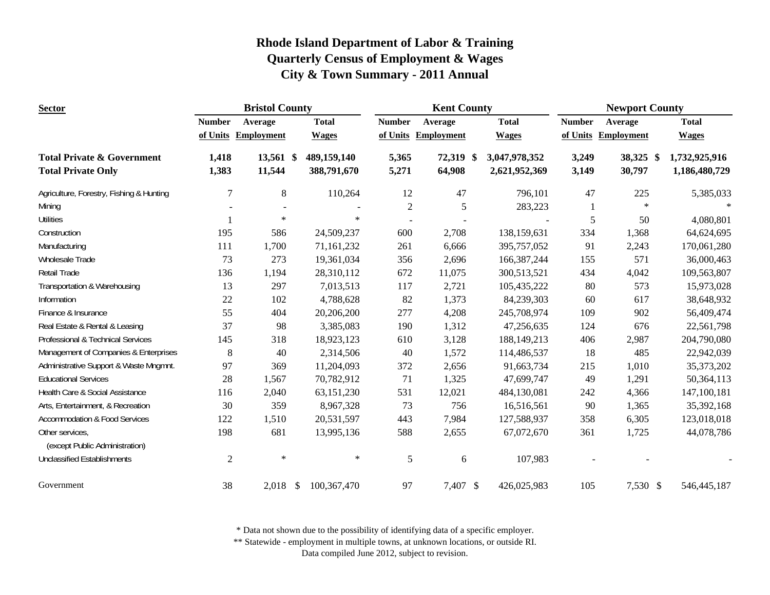| <b>Sector</b>                                     |                | <b>Bristol County</b> |              |               | <b>Kent County</b> |               |               | <b>Newport County</b> |                   |               |  |
|---------------------------------------------------|----------------|-----------------------|--------------|---------------|--------------------|---------------|---------------|-----------------------|-------------------|---------------|--|
|                                                   | <b>Number</b>  | Average               | <b>Total</b> | <b>Number</b> | Average            | <b>Total</b>  |               | <b>Number</b>         | Average           | <b>Total</b>  |  |
|                                                   | of Units       | <b>Employment</b>     | <b>Wages</b> | of Units      | <b>Employment</b>  | <b>Wages</b>  |               | of Units              | <b>Employment</b> | <b>Wages</b>  |  |
| <b>Total Private &amp; Government</b>             | 1,418          | 13,561 \$             | 489,159,140  | 5,365         | 72,319 \$          | 3,047,978,352 |               | 3,249                 | 38,325 \$         | 1,732,925,916 |  |
| <b>Total Private Only</b>                         | 1,383          | 11,544                | 388,791,670  | 5,271         | 64,908             |               | 2,621,952,369 | 3,149                 | 30,797            | 1,186,480,729 |  |
| Agriculture, Forestry, Fishing & Hunting          | $\overline{7}$ | $8\phantom{1}$        | 110,264      | 12            | 47                 |               | 796,101       | 47                    | 225               | 5,385,033     |  |
| Mining                                            |                |                       |              | $\sqrt{2}$    | 5                  |               | 283,223       |                       | $\ast$            | $\star$       |  |
| <b>Utilities</b>                                  |                | $\ast$                |              | $\ast$        |                    |               |               | 5                     | 50                | 4,080,801     |  |
| Construction                                      | 195            | 586                   | 24,509,237   | 600           | 2,708              |               | 138,159,631   | 334                   | 1,368             | 64,624,695    |  |
| Manufacturing                                     | 111            | 1,700                 | 71,161,232   | 261           | 6,666              |               | 395,757,052   | 91                    | 2,243             | 170,061,280   |  |
| Wholesale Trade                                   | 73             | 273                   | 19,361,034   | 356           | 2,696              |               | 166, 387, 244 | 155                   | 571               | 36,000,463    |  |
| Retail Trade                                      | 136            | 1,194                 | 28,310,112   | 672           | 11,075             |               | 300,513,521   | 434                   | 4,042             | 109,563,807   |  |
| Transportation & Warehousing                      | 13             | 297                   | 7,013,513    | 117           | 2,721              |               | 105,435,222   | 80                    | 573               | 15,973,028    |  |
| Information                                       | 22             | 102                   | 4,788,628    | 82            | 1,373              |               | 84,239,303    | 60                    | 617               | 38,648,932    |  |
| Finance & Insurance                               | 55             | 404                   | 20,206,200   | 277           | 4,208              |               | 245,708,974   | 109                   | 902               | 56,409,474    |  |
| Real Estate & Rental & Leasing                    | 37             | 98                    | 3,385,083    | 190           | 1,312              |               | 47,256,635    | 124                   | 676               | 22,561,798    |  |
| Professional & Technical Services                 | 145            | 318                   | 18,923,123   | 610           | 3,128              |               | 188,149,213   | 406                   | 2,987             | 204,790,080   |  |
| Management of Companies & Enterprises             | $8\phantom{1}$ | 40                    | 2,314,506    | 40            | 1,572              |               | 114,486,537   | 18                    | 485               | 22,942,039    |  |
| Administrative Support & Waste Mngmnt.            | 97             | 369                   | 11,204,093   | 372           | 2,656              |               | 91,663,734    | 215                   | 1,010             | 35, 373, 202  |  |
| <b>Educational Services</b>                       | 28             | 1,567                 | 70,782,912   | 71            | 1,325              |               | 47,699,747    | 49                    | 1,291             | 50,364,113    |  |
| Health Care & Social Assistance                   | 116            | 2,040                 | 63,151,230   | 531           | 12,021             |               | 484,130,081   | 242                   | 4,366             | 147,100,181   |  |
| Arts, Entertainment, & Recreation                 | 30             | 359                   | 8,967,328    | 73            | 756                |               | 16,516,561    | 90                    | 1,365             | 35,392,168    |  |
| <b>Accommodation &amp; Food Services</b>          | 122            | 1,510                 | 20,531,597   | 443           | 7,984              |               | 127,588,937   | 358                   | 6,305             | 123,018,018   |  |
| Other services,<br>(except Public Administration) | 198            | 681                   | 13,995,136   | 588           | 2,655              |               | 67,072,670    | 361                   | 1,725             | 44,078,786    |  |
| <b>Unclassified Establishments</b>                | $\mathbf{2}$   | $\ast$                |              | $\ast$<br>5   | 6                  |               | 107,983       |                       |                   |               |  |
| Government                                        | 38             | $2,018$ \$            | 100,367,470  | 97            | 7,407 \$           |               | 426,025,983   | 105                   | 7,530 \$          | 546, 445, 187 |  |

\* Data not shown due to the possibility of identifying data of a specific employer.

\*\* Statewide - employment in multiple towns, at unknown locations, or outside RI.